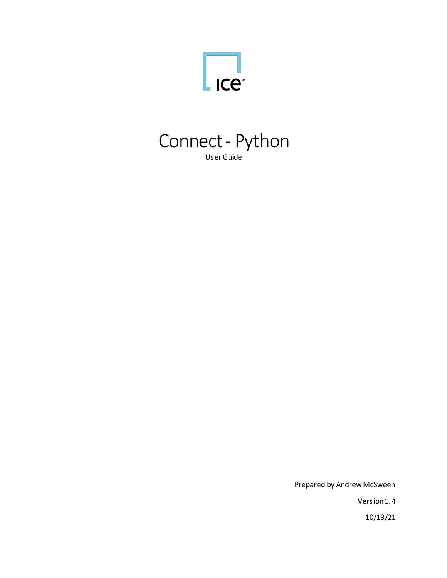



Prepared by Andrew McSween

Version 1.4

10/13/21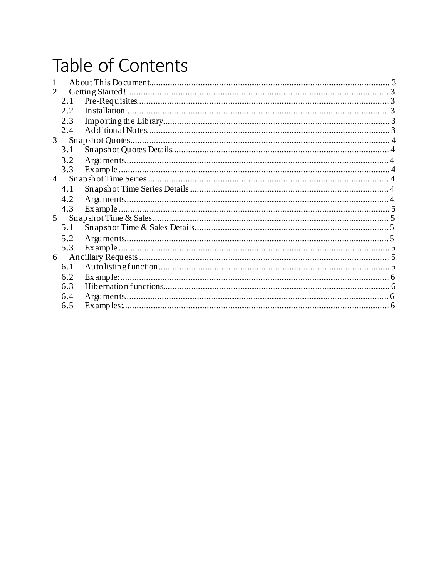# Table of Contents

| 1              |     |  |
|----------------|-----|--|
| 2              |     |  |
|                | 2.1 |  |
|                | 2.2 |  |
|                | 2.3 |  |
|                | 2.4 |  |
| 3 <sup>7</sup> |     |  |
|                | 3.1 |  |
|                | 3.2 |  |
|                | 3.3 |  |
| $\overline{4}$ |     |  |
|                | 4.1 |  |
|                | 4.2 |  |
|                | 4.3 |  |
| 5 <sup>5</sup> |     |  |
|                | 5.1 |  |
|                | 5.2 |  |
|                | 5.3 |  |
| 6              |     |  |
|                | 6.1 |  |
|                | 6.2 |  |
|                | 6.3 |  |
|                | 6.4 |  |
|                | 6.5 |  |
|                |     |  |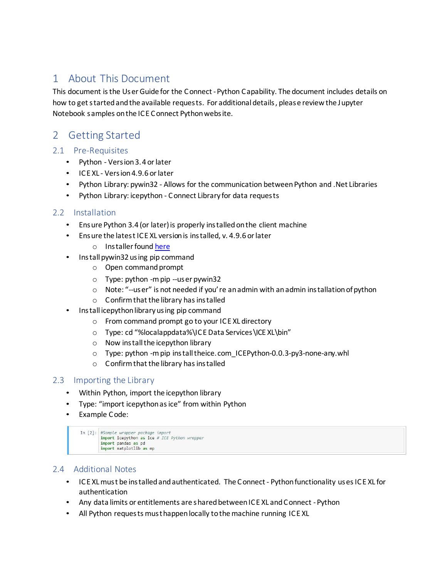# 1 About This Document

This document isthe UserGuide for the Connect -Python Capability. The document includes details on how to get started and the available requests. For additional details, please review the Jupyter Notebook samples onthe ICE Connect Python website.

# 2 Getting Started

# 2.1 Pre-Requisites

- Python Version 3.4 orlater
- ICE XL Version 4.9.6 orlater
- Python Library: pywin32 Allows for the communication betweenPython and .Net Libraries
- Python Library: icepython Connect Library for data requests

# 2.2 Installation

- Ensure Python 3.4 (or later)is properly installedonthe client machine
- Ensure the latest ICE XL version is installed, v. 4.9.6 or later
	- o Installer found [here](https://www.theice.com/market-data/desktop-solutions/ice-connect/excel-addin-templates/download)
- Install pywin32 using pip command
	- $\circ$  Open command prompt
	- $\circ$  Type: python -mpip --user pywin32
	- $\circ$  Note: "--user" is not needed if you're an admin with an admin installation of python
	- $\circ$  Confirm that the library has installed
- Install icepython library using pip command
	- o From command prompt go to your ICE XL directory
	- o Type: cd "%localappdata%\ICE Data Services\ICE XL\bin"
	- $\circ$  Now install the icepython library
	- o Type: python -mpip installtheice. com\_ICEPython-0.0.3-py3-none-any.whl
	- $\circ$  Confirm that the library has installed

# 2.3 Importing the Library

- Within Python, import the icepython library
- Type: "import icepythonasice" from within Python
- Example Code:

```
In [2]: #Sample wrapper package import
import icepython as ice # ICE Python wrapper
import pandas as pd
import matplotlib as mp
```
# 2.4 Additional Notes

- ICE XL must be installed and authenticated. The Connect Python functionality uses ICE XL for authentication
- Any data limits or entitlements are shared between ICE XL and Connect Python
- All Python requests musthappen locally tothemachine running ICE XL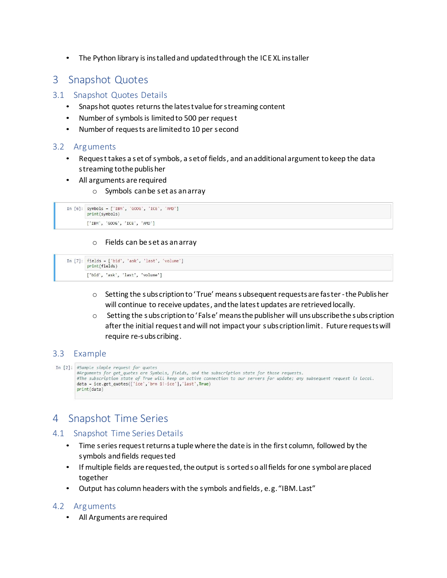• The Python library is installed and updated through the ICE XL installer

# 3 Snapshot Quotes

## 3.1 Snapshot Quotes Details

- Snaps hot quotes returns the latest value for streaming content
- Number of symbolsis limitedto 500 per request
- Number of requests are limitedto 10 per second

## 3.2 Arguments

- Request takes a set of symbols, a set of fields, and an additional argument to keep the data streaming tothe publisher
- All arguments are required
	- o Symbols canbe set as anarray

```
In [6]: symbols = ['IBM', 'GOOG', 'ICE', 'AMD']print(symbols)
['IBM', 'GOOG', 'ICE', 'AMD']
```
#### o Fields can be set as anarray

In  $[7]$ : fields = ['bid', 'ask', 'last', 'volume'] print(fields) ['bid', 'ask', 'last', 'volume']

- $\circ$  Setting the subs cription to 'True' means subsequent requests are faster-the Publisher will continue to receive updates, and the latest updates are retrieved locally.
- $\circ$  Setting the subs cription to 'False' means the publisher will unsubscribe the subscription afterthe initial request andwill not impact your subs criptionlimit. Future requests will require re-subs cribing.

## 3.3 Example

```
In [2]: #Sample simple request for quotes
    sumple sumple request for quotes<br>#Arguments for get_quotes are Symbols, fields, and the subscription state for those requests.
   #The subscription state of True will keep an active connection to our servers for update; any subsequent request is local.<br>data = ice.get_quotes(['ice','brn 1!-ice'],'last',True)
   print(data)
```
# 4 Snapshot Time Series

#### 4.1 Snapshot Time Series Details

- Time series request returnsa tuple where the date is in the first column, followed by the symbols and fields requested
- If multiple fields are requested, the output is sortedsoallfields for one symbol are placed together
- Output has column headers with the symbols andfields, e.g. "IBM. Last"

## 4.2 Arguments

• All Arguments are required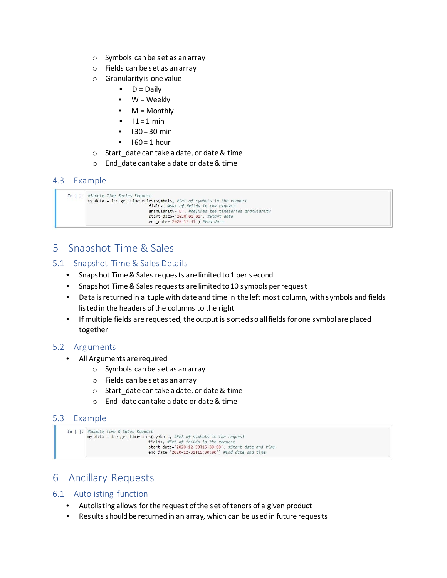- o Symbols canbe set as anarray
- o Fields can be set as anarray
- o Granularity is one value
	- $\blacksquare$  D = Daily
	- $W =$  Weekly
	- $\blacksquare$  M = Monthly
	- $11 = 1$  min
	- $\blacksquare$  I 30 = 30 min
	- $160 = 1$  hour
- o Start\_date cantake a date, or date& time
- o End\_date can take a date or date& time

# 4.3 Example

```
In [ ]: #Sample Time Series Request
            my_data = ice.get_timeseries(symbols, #Set of symbols in the request
                                                                     The symbols, \#set of symbols in the request<br>fields, \# \text{Set} of \# \text{cls} in the request<br>granularity='D', \# \text{defines} the remesteries granularity<br>start_date='2020-01-01', \# \text{Start} date<br>end_date='2020-12-31') \# \text{End}
```
# 5 Snapshot Time & Sales

- 5.1 Snapshot Time & Sales Details
	- Snapshot Time & Sales requests are limited to 1 per second
	- Snapshot Time & Sales requests are limited to 10 symbols per request
	- Data is returned in a tuple with date and time in the left most column, with symbols and fields listed in the headers of the columns to the right
	- If multiple fields are requested, the output is sortedsoallfields for one symbol are placed together

## 5.2 Arguments

- All Arguments are required
	- o Symbols canbe set as anarray
	- o Fields can be set as anarray
	- $\circ$  Start date cantake a date, or date & time
	- o End\_date cantake a date or date& time

## 5.3 Example

```
In [ ]: #Sample Time & Sales Request
  my_data = ice.get_timesales(symbols, #Set of symbols in the request
                                   fields, #Set of feilds in the request
                                   start_date='2020-12-30T15:30:00', #Start date and time<br>end_date='2020-12-31T15:30:00') #End date and time
```
# 6 Ancillary Requests

## 6.1 Autolisting function

- Autolisting allows forthe request ofthe set of tenors of a given product
- Results should be returnedin an array, which can be usedin future requests